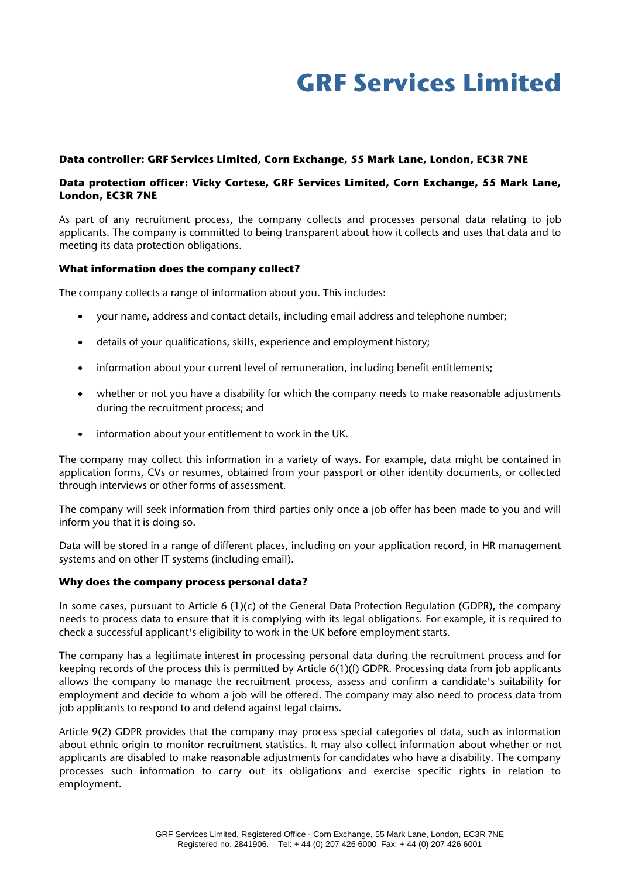# **GRF Services Limited**

#### **Data controller: GRF Services Limited, Corn Exchange, 55 Mark Lane, London, EC3R 7NE**

# **Data protection officer: Vicky Cortese, GRF Services Limited, Corn Exchange, 55 Mark Lane, London, EC3R 7NE**

As part of any recruitment process, the company collects and processes personal data relating to job applicants. The company is committed to being transparent about how it collects and uses that data and to meeting its data protection obligations.

#### **What information does the company collect?**

The company collects a range of information about you. This includes:

- your name, address and contact details, including email address and telephone number;
- details of your qualifications, skills, experience and employment history;
- information about your current level of remuneration, including benefit entitlements;
- whether or not you have a disability for which the company needs to make reasonable adjustments during the recruitment process; and
- information about your entitlement to work in the UK.

The company may collect this information in a variety of ways. For example, data might be contained in application forms, CVs or resumes, obtained from your passport or other identity documents, or collected through interviews or other forms of assessment.

The company will seek information from third parties only once a job offer has been made to you and will inform you that it is doing so.

Data will be stored in a range of different places, including on your application record, in HR management systems and on other IT systems (including email).

#### **Why does the company process personal data?**

In some cases, pursuant to Article 6 (1)(c) of the General Data Protection Regulation (GDPR), the company needs to process data to ensure that it is complying with its legal obligations. For example, it is required to check a successful applicant's eligibility to work in the UK before employment starts.

The company has a legitimate interest in processing personal data during the recruitment process and for keeping records of the process this is permitted by Article 6(1)(f) GDPR. Processing data from job applicants allows the company to manage the recruitment process, assess and confirm a candidate's suitability for employment and decide to whom a job will be offered. The company may also need to process data from job applicants to respond to and defend against legal claims.

Article 9(2) GDPR provides that the company may process special categories of data, such as information about ethnic origin to monitor recruitment statistics. It may also collect information about whether or not applicants are disabled to make reasonable adjustments for candidates who have a disability. The company processes such information to carry out its obligations and exercise specific rights in relation to employment.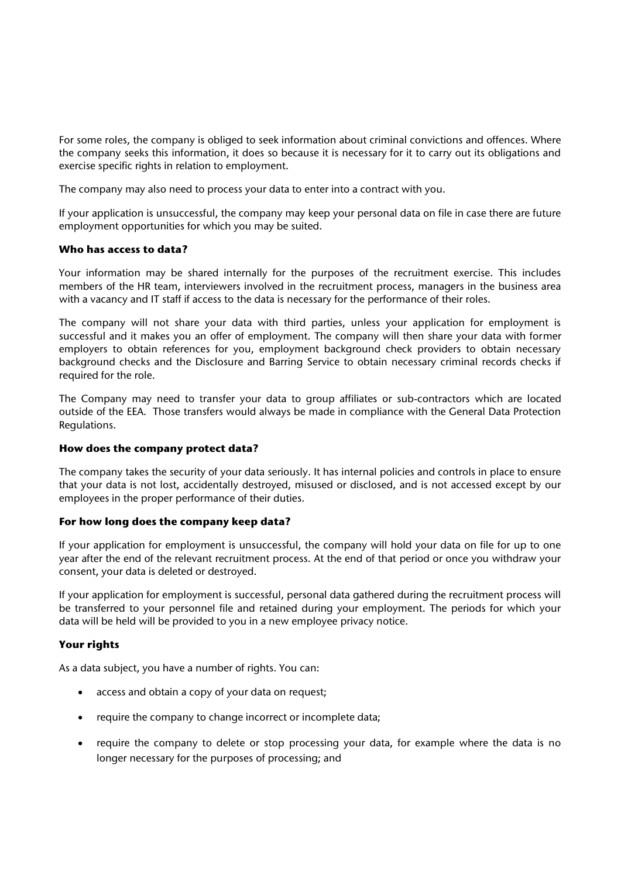For some roles, the company is obliged to seek information about criminal convictions and offences. Where the company seeks this information, it does so because it is necessary for it to carry out its obligations and exercise specific rights in relation to employment.

The company may also need to process your data to enter into a contract with you.

If your application is unsuccessful, the company may keep your personal data on file in case there are future employment opportunities for which you may be suited.

### **Who has access to data?**

Your information may be shared internally for the purposes of the recruitment exercise. This includes members of the HR team, interviewers involved in the recruitment process, managers in the business area with a vacancy and IT staff if access to the data is necessary for the performance of their roles.

The company will not share your data with third parties, unless your application for employment is successful and it makes you an offer of employment. The company will then share your data with former employers to obtain references for you, employment background check providers to obtain necessary background checks and the Disclosure and Barring Service to obtain necessary criminal records checks if required for the role.

The Company may need to transfer your data to group affiliates or sub-contractors which are located outside of the EEA. Those transfers would always be made in compliance with the General Data Protection Regulations.

### **How does the company protect data?**

The company takes the security of your data seriously. It has internal policies and controls in place to ensure that your data is not lost, accidentally destroyed, misused or disclosed, and is not accessed except by our employees in the proper performance of their duties.

### **For how long does the company keep data?**

If your application for employment is unsuccessful, the company will hold your data on file for up to one year after the end of the relevant recruitment process. At the end of that period or once you withdraw your consent, your data is deleted or destroyed.

If your application for employment is successful, personal data gathered during the recruitment process will be transferred to your personnel file and retained during your employment. The periods for which your data will be held will be provided to you in a new employee privacy notice.

### **Your rights**

As a data subject, you have a number of rights. You can:

- access and obtain a copy of your data on request;
- require the company to change incorrect or incomplete data;
- require the company to delete or stop processing your data, for example where the data is no longer necessary for the purposes of processing; and